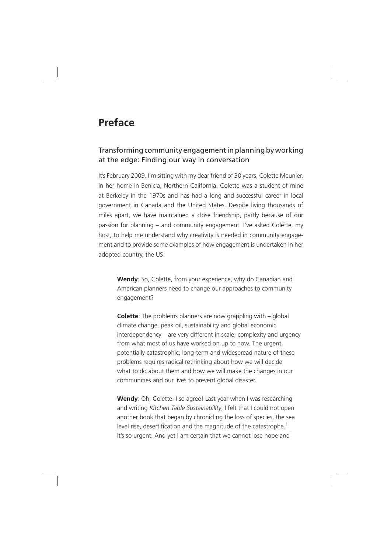# Transforming community engagement in planning by working at the edge: Finding our way in conversation

It's February 2009. I'm sitting with my dear friend of 30 years, Colette Meunier, in her home in Benicia, Northern California. Colette was a student of mine at Berkeley in the 1970s and has had a long and successful career in local government in Canada and the United States. Despite living thousands of miles apart, we have maintained a close friendship, partly because of our passion for planning – and community engagement. I've asked Colette, my host, to help me understand why creativity is needed in community engagement and to provide some examples of how engagement is undertaken in her adopted country, the US.

**Wendy**: So, Colette, from your experience, why do Canadian and American planners need to change our approaches to community engagement?

**Colette**: The problems planners are now grappling with – global climate change, peak oil, sustainability and global economic interdependency – are very different in scale, complexity and urgency from what most of us have worked on up to now. The urgent, potentially catastrophic, long-term and widespread nature of these problems requires radical rethinking about how we will decide what to do about them and how we will make the changes in our communities and our lives to prevent global disaster.

**Wendy**: Oh, Colette. I so agree! Last year when I was researching and writing *Kitchen Table Sustainability*, I felt that I could not open another book that began by chronicling the loss of species, the sea level rise, desertification and the magnitude of the catastrophe.<sup>1</sup> It's so urgent. And yet I am certain that we cannot lose hope and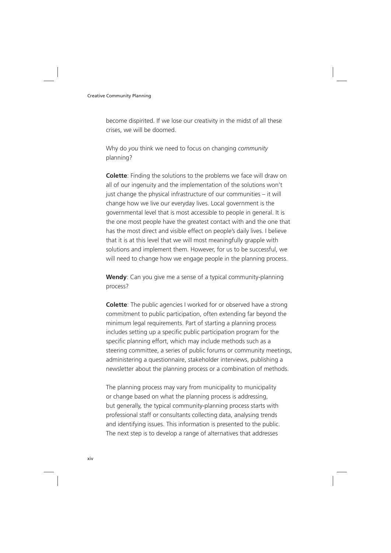become dispirited. If we lose our creativity in the midst of all these crises, we will be doomed.

Why do *you* think we need to focus on changing *community* planning?

**Colette**: Finding the solutions to the problems we face will draw on all of our ingenuity and the implementation of the solutions won't just change the physical infrastructure of our communities – it will change how we live our everyday lives. Local government is the governmental level that is most accessible to people in general. It is the one most people have the greatest contact with and the one that has the most direct and visible effect on people's daily lives. I believe that it is at this level that we will most meaningfully grapple with solutions and implement them. However, for us to be successful, we will need to change how we engage people in the planning process.

**Wendy**: Can you give me a sense of a typical community-planning process?

**Colette**: The public agencies I worked for or observed have a strong commitment to public participation, often extending far beyond the minimum legal requirements. Part of starting a planning process includes setting up a specific public participation program for the specific planning effort, which may include methods such as a steering committee, a series of public forums or community meetings, administering a questionnaire, stakeholder interviews, publishing a newsletter about the planning process or a combination of methods.

The planning process may vary from municipality to municipality or change based on what the planning process is addressing, but generally, the typical community-planning process starts with professional staff or consultants collecting data, analysing trends and identifying issues. This information is presented to the public. The next step is to develop a range of alternatives that addresses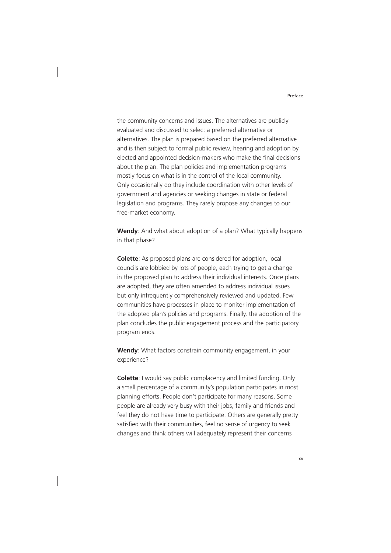the community concerns and issues. The alternatives are publicly evaluated and discussed to select a preferred alternative or alternatives. The plan is prepared based on the preferred alternative and is then subject to formal public review, hearing and adoption by elected and appointed decision-makers who make the final decisions about the plan. The plan policies and implementation programs mostly focus on what is in the control of the local community. Only occasionally do they include coordination with other levels of government and agencies or seeking changes in state or federal legislation and programs. They rarely propose any changes to our free-market economy.

**Wendy**: And what about adoption of a plan? What typically happens in that phase?

**Colette**: As proposed plans are considered for adoption, local councils are lobbied by lots of people, each trying to get a change in the proposed plan to address their individual interests. Once plans are adopted, they are often amended to address individual issues but only infrequently comprehensively reviewed and updated. Few communities have processes in place to monitor implementation of the adopted plan's policies and programs. Finally, the adoption of the plan concludes the public engagement process and the participatory program ends.

**Wendy**: What factors constrain community engagement, in your experience?

**Colette**: I would say public complacency and limited funding. Only a small percentage of a community's population participates in most planning efforts. People don't participate for many reasons. Some people are already very busy with their jobs, family and friends and feel they do not have time to participate. Others are generally pretty satisfied with their communities, feel no sense of urgency to seek changes and think others will adequately represent their concerns

xv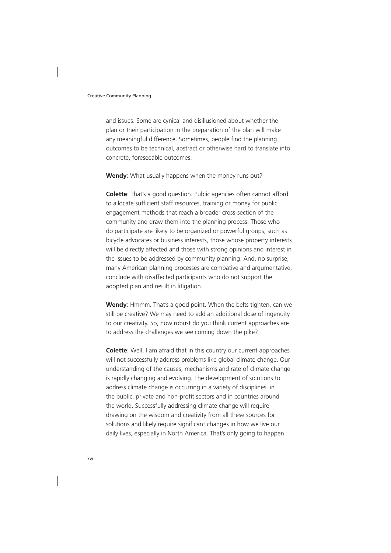and issues. Some are cynical and disillusioned about whether the plan or their participation in the preparation of the plan will make any meaningful difference. Sometimes, people find the planning outcomes to be technical, abstract or otherwise hard to translate into concrete, foreseeable outcomes.

**Wendy**: What usually happens when the money runs out?

**Colette**: That's a good question. Public agencies often cannot afford to allocate sufficient staff resources, training or money for public engagement methods that reach a broader cross-section of the community and draw them into the planning process. Those who do participate are likely to be organized or powerful groups, such as bicycle advocates or business interests, those whose property interests will be directly affected and those with strong opinions and interest in the issues to be addressed by community planning. And, no surprise, many American planning processes are combative and argumentative, conclude with disaffected participants who do not support the adopted plan and result in litigation.

**Wendy**: Hmmm. That's a good point. When the belts tighten, can we still be creative? We may need to add an additional dose of ingenuity to our creativity. So, how robust do you think current approaches are to address the challenges we see coming down the pike?

**Colette**: Well, I am afraid that in this country our current approaches will not successfully address problems like global climate change. Our understanding of the causes, mechanisms and rate of climate change is rapidly changing and evolving. The development of solutions to address climate change is occurring in a variety of disciplines, in the public, private and non-profit sectors and in countries around the world. Successfully addressing climate change will require drawing on the wisdom and creativity from all these sources for solutions and likely require significant changes in how we live our daily lives, especially in North America. That's only going to happen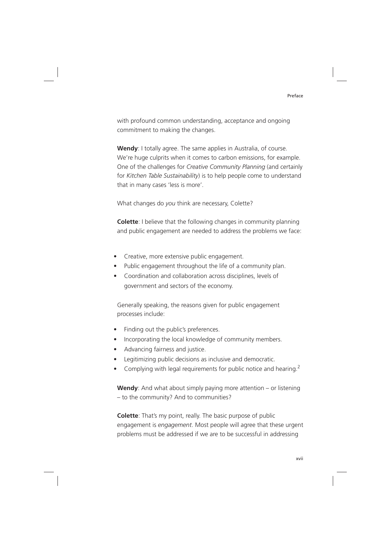with profound common understanding, acceptance and ongoing commitment to making the changes.

**Wendy**: I totally agree. The same applies in Australia, of course. We're huge culprits when it comes to carbon emissions, for example. One of the challenges for *Creative Community Planning* (and certainly for *Kitchen Table Sustainability*) is to help people come to understand that in many cases 'less is more'.

What changes do *you* think are necessary, Colette?

**Colette**: I believe that the following changes in community planning and public engagement are needed to address the problems we face:

- Creative, more extensive public engagement.
- Public engagement throughout the life of a community plan.
- Coordination and collaboration across disciplines, levels of government and sectors of the economy.

Generally speaking, the reasons given for public engagement processes include:

- Finding out the public's preferences.
- Incorporating the local knowledge of community members.
- Advancing fairness and justice.
- Legitimizing public decisions as inclusive and democratic.
- Complying with legal requirements for public notice and hearing.<sup>2</sup>

**Wendy**: And what about simply paying more attention – or listening – to the community? And to communities?

**Colette**: That's my point, really. The basic purpose of public engagement is *engagement*. Most people will agree that these urgent problems must be addressed if we are to be successful in addressing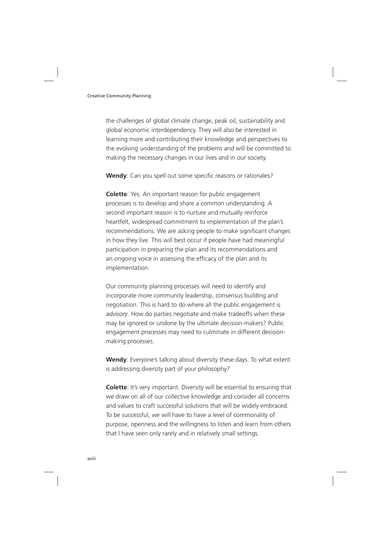the challenges of global climate change, peak oil, sustainability and global economic interdependency. They will also be interested in learning more and contributing their knowledge and perspectives to the evolving understanding of the problems and will be committed to making the necessary changes in our lives and in our society.

**Wendy**: Can you spell out some specific reasons or rationales?

**Colette**: Yes. An important reason for public engagement processes is to develop and share a common understanding. A second important reason is to nurture and mutually reinforce heartfelt, widespread commitment to implementation of the plan's recommendations. We are asking people to make significant changes in how they live. This will best occur if people have had meaningful participation in preparing the plan and its recommendations and an ongoing voice in assessing the efficacy of the plan and its implementation.

Our community planning processes will need to identify and incorporate more community leadership, consensus building and negotiation. This is hard to do where all the public engagement is *advisory*. How do parties negotiate and make tradeoffs when these may be ignored or undone by the ultimate decision-makers? Public engagement processes may need to culminate in different decisionmaking processes.

**Wendy**: Everyone's talking about diversity these days. To what extent is addressing diversity part of your philosophy?

**Colette**: It's very important. Diversity will be essential to ensuring that we draw on all of our collective knowledge and consider all concerns and values to craft successful solutions that will be widely embraced. To be successful, we will have to have a level of commonality of purpose, openness and the willingness to listen and learn from others that I have seen only rarely and in relatively small settings.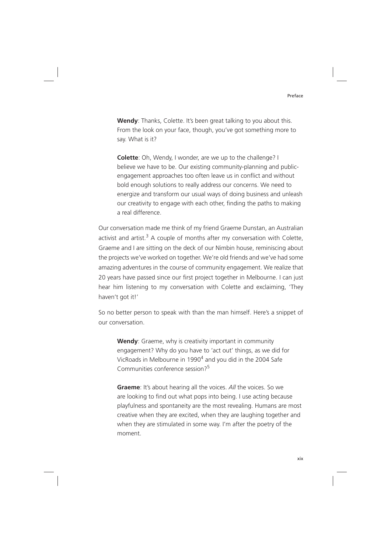**Wendy**: Thanks, Colette. It's been great talking to you about this. From the look on your face, though, you've got something more to say. What is it?

**Colette**: Oh, Wendy, I wonder, are we up to the challenge? I believe we have to be. Our existing community-planning and publicengagement approaches too often leave us in conflict and without bold enough solutions to really address our concerns. We need to energize and transform our usual ways of doing business and unleash our creativity to engage with each other, finding the paths to making a real difference.

Our conversation made me think of my friend Graeme Dunstan, an Australian activist and artist. $3$  A couple of months after my conversation with Colette, Graeme and I are sitting on the deck of our Nimbin house, reminiscing about the projects we've worked on together. We're old friends and we've had some amazing adventures in the course of community engagement. We realize that 20 years have passed since our first project together in Melbourne. I can just hear him listening to my conversation with Colette and exclaiming, 'They haven't got it!'

So no better person to speak with than the man himself. Here's a snippet of our conversation.

**Wendy**: Graeme, why is creativity important in community engagement? Why do you have to 'act out' things, as we did for VicRoads in Melbourne in 1990<sup>4</sup> and you did in the 2004 Safe Communities conference session?<sup>5</sup>

**Graeme**: It's about hearing all the voices. *All* the voices. So we are looking to find out what pops into being. I use acting because playfulness and spontaneity are the most revealing. Humans are most creative when they are excited, when they are laughing together and when they are stimulated in some way. I'm after the poetry of the moment.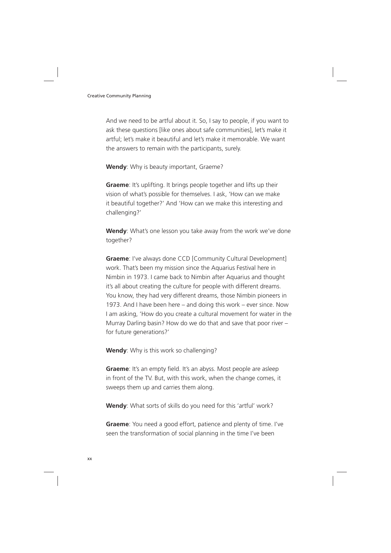And we need to be artful about it. So, I say to people, if you want to ask these questions [like ones about safe communities], let's make it artful; let's make it beautiful and let's make it memorable. We want the answers to remain with the participants, surely.

**Wendy**: Why is beauty important, Graeme?

**Graeme**: It's uplifting. It brings people together and lifts up their vision of what's possible for themselves. I ask, 'How can we make it beautiful together?' And 'How can we make this interesting and challenging?'

**Wendy**: What's one lesson you take away from the work we've done together?

**Graeme**: I've always done CCD [Community Cultural Development] work. That's been my mission since the Aquarius Festival here in Nimbin in 1973. I came back to Nimbin after Aquarius and thought it's all about creating the culture for people with different dreams. You know, they had very different dreams, those Nimbin pioneers in 1973. And I have been here – and doing this work – ever since. Now I am asking, 'How do you create a cultural movement for water in the Murray Darling basin? How do we do that and save that poor river – for future generations?'

**Wendy**: Why is this work so challenging?

**Graeme**: It's an empty field. It's an abyss. Most people are asleep in front of the TV. But, with this work, when the change comes, it sweeps them up and carries them along.

**Wendy**: What sorts of skills do you need for this 'artful' work?

**Graeme**: You need a good effort, patience and plenty of time. I've seen the transformation of social planning in the time I've been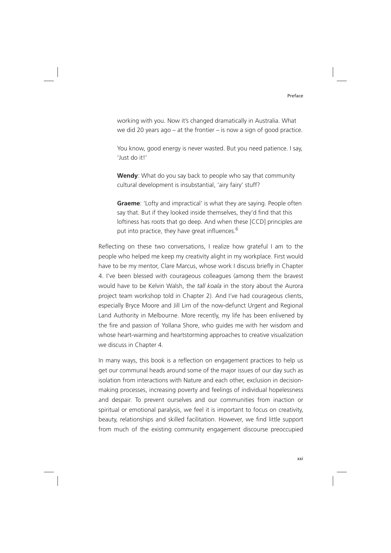working with you. Now it's changed dramatically in Australia. What we did 20 years ago – at the frontier – is now a sign of good practice.

You know, good energy is never wasted. But you need patience. I say, 'Just do it!'

**Wendy**: What do you say back to people who say that community cultural development is insubstantial, 'airy fairy' stuff?

**Graeme**: 'Lofty and impractical' is what they are saying. People often say that. But if they looked inside themselves, they'd find that this loftiness has roots that go deep. And when these [CCD] principles are put into practice, they have great influences.<sup>6</sup>

Reflecting on these two conversations, I realize how grateful I am to the people who helped me keep my creativity alight in my workplace. First would have to be my mentor, Clare Marcus, whose work I discuss briefly in Chapter 4. I've been blessed with courageous colleagues (among them the bravest would have to be Kelvin Walsh, the *tall koala* in the story about the Aurora project team workshop told in Chapter 2). And I've had courageous clients, especially Bryce Moore and Jill Lim of the now-defunct Urgent and Regional Land Authority in Melbourne. More recently, my life has been enlivened by the fire and passion of Yollana Shore, who guides me with her wisdom and whose heart-warming and heartstorming approaches to creative visualization we discuss in Chapter 4.

In many ways, this book is a reflection on engagement practices to help us get our communal heads around some of the major issues of our day such as isolation from interactions with Nature and each other, exclusion in decisionmaking processes, increasing poverty and feelings of individual hopelessness and despair. To prevent ourselves and our communities from inaction or spiritual or emotional paralysis, we feel it is important to focus on creativity, beauty, relationships and skilled facilitation. However, we find little support from much of the existing community engagement discourse preoccupied